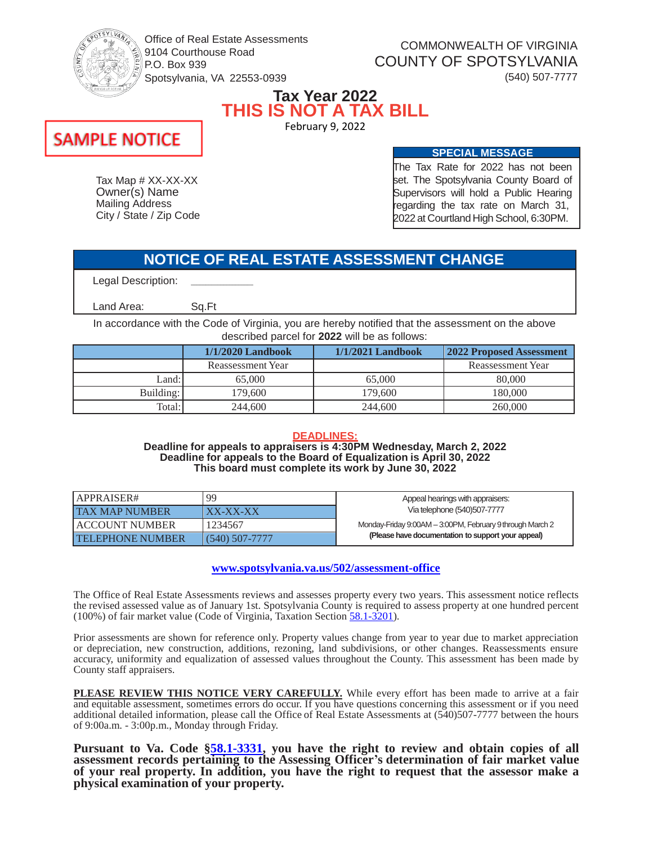

Office of Real Estate Assessments 9104 Courthouse Road P.O. Box 939 Spotsylvania, VA 22553-0939

COMMONWEALTH OF VIRGINIA COUNTY OF SPOTSYLVANIA (540) 507-7777

### **Tax Year 2022 THIS IS NOT A TAX BILL** February 9, 2022

# **SAMPLE NOTICE**

Tax Map # XX-XX-XX Owner(s) Name Mailing Address City / State / Zip Code The Tax Rate for 2022 has not been set. The Spotsylvania County Board of Supervisors will hold a Public Hearing regarding the tax rate on March 31, 2022 at CourtlandHigh School, 6:30PM.

**SPECIAL MESSAGE**

## **NOTICE OF REAL ESTATE ASSESSMENT CHANGE**

Legal Description:

Land Area:

Sq.Ft

 $\mathcal{L}=\mathcal{L}$  , we can also the set of the set of the set of the set of the set of the set of the set of the set of the set of the set of the set of the set of the set of the set of the set of the set of the set of the s

In accordance with the Code of Virginia, you are hereby notified that the assessment on the above described parcel for **2022** will be as follows:

|           | $1/1/2020$ Landbook | $1/1/2021$ Landbook | 2022 Proposed Assessment |
|-----------|---------------------|---------------------|--------------------------|
|           | Reassessment Year   |                     | Reassessment Year        |
| Land:     | 65,000              | 65,000              | 80,000                   |
| Building: | 179.600             | 179.600             | 180.000                  |
| Total:    | 244,600             | 244,600             | 260,000                  |

### **DEADLINES:**

**Deadline for appeals to appraisers is 4:30PM Wednesday, March 2, 2022 Deadline for appeals to the Board of Equalization is April 30, 2022 This board must complete its work by June 30, 2022**

| APPRAISER#              | <b>QQ</b>             | Appeal hearings with appraisers:                                                                                |  |
|-------------------------|-----------------------|-----------------------------------------------------------------------------------------------------------------|--|
| <b>TAX MAP NUMBER</b>   | $\overline{XX-XX-XX}$ | Via telephone (540) 507-7777                                                                                    |  |
| LACCOUNT NUMBER         | 1234567               | Monday-Friday 9:00AM - 3:00PM, February 9 through March 2<br>(Please have documentation to support your appeal) |  |
| <b>TELEPHONE NUMBER</b> | $(540)$ 507-7777      |                                                                                                                 |  |

### **[www.spotsylvania.va.us/502/assessment-office](http://www.spotsylvania.va.us/502/assessment-office)**

The Office of Real Estate Assessments reviews and assesses property every two years. This assessment notice reflects the revised assessed value as of January 1st. Spotsylvania County is required to assess property at one hundred percent  $(100\%)$  of fair market value (Code of Virginia, Taxation Section  $\frac{58.1 - 3201}{200}$ .

Prior assessments are shown for reference only. Property values change from year to year due to market appreciation or depreciation, new construction, additions, rezoning, land subdivisions, or other changes. Reassessments ensure accuracy, uniformity and equalization of assessed values throughout the County. This assessment has been made by County staff appraisers.

**PLEASE REVIEW THIS NOTICE VERY CAREFULLY.** While every effort has been made to arrive at a fair and equitable assessment, sometimes errors do occur. If you have questions concerning this assessment or if you need additional detailed information, please call the Office of Real Estate Assessments at (540)507-7777 between the hours of 9:00a.m. - 3:00p.m., Monday through Friday.

**Pursuant to Va. Code [§58.1-3331,](https://law.lis.virginia.gov/vacode/title58.1/chapter32/section58.1-3331) you have the right to review and obtain copies of all assessment records pertaining to the Assessing Officer's determination of fair market value of your real property. In addition, you have the right to request that the assessor make a physical examination of your property.**